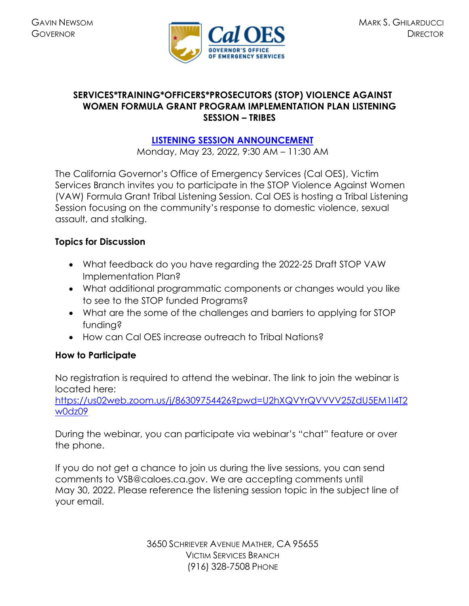

## **SERVICES\*TRAINING\*OFFICERS\*PROSECUTORS (STOP) VIOLENCE AGAINST WOMEN FORMULA GRANT PROGRAM IMPLEMENTATION PLAN LISTENING SESSION – TRIBES**

## **[LISTENING SESSION ANNOUNCEMENT](https://caloes.ca.gov/cal-oes-divisions/grants-management/victim-services/meeting-public-notices)**

Monday, May 23, 2022, 9:30 AM – 11:30 AM

The California Governor's Office of Emergency Services (Cal OES), Victim Services Branch invites you to participate in the STOP Violence Against Women (VAW) Formula Grant Tribal Listening Session. Cal OES is hosting a Tribal Listening Session focusing on the community's response to domestic violence, sexual assault, and stalking.

## **Topics for Discussion**

- What feedback do you have regarding the 2022-25 Draft STOP VAW Implementation Plan?
- What additional programmatic components or changes would you like to see to the STOP funded Programs?
- What are the some of the challenges and barriers to applying for STOP funding?
- How can Cal OES increase outreach to Tribal Nations?

## **How to Participate**

No registration is required to attend the webinar. The link to join the webinar is located here:

[https://us02web.zoom.us/j/86309754426?pwd=U2hXQVYrQVVVV25ZdU5EM1l4T2](https://us02web.zoom.us/j/86309754426?pwd=U2hXQVYrQVVVV25ZdU5EM1l4T2w0dz09) [w0dz09](https://us02web.zoom.us/j/86309754426?pwd=U2hXQVYrQVVVV25ZdU5EM1l4T2w0dz09) 

During the webinar, you can participate via webinar's "chat" feature or over the phone.

If you do not get a chance to join us during the live sessions, you can send comments to VSB@caloes.ca.gov. We are accepting comments until May 30, 2022. Please reference the listening session topic in the subject line of your email.

> 3650 SCHRIEVER AVENUE MATHER, CA 95655 VICTIM SERVICES BRANCH (916) 328-7508 PHONE